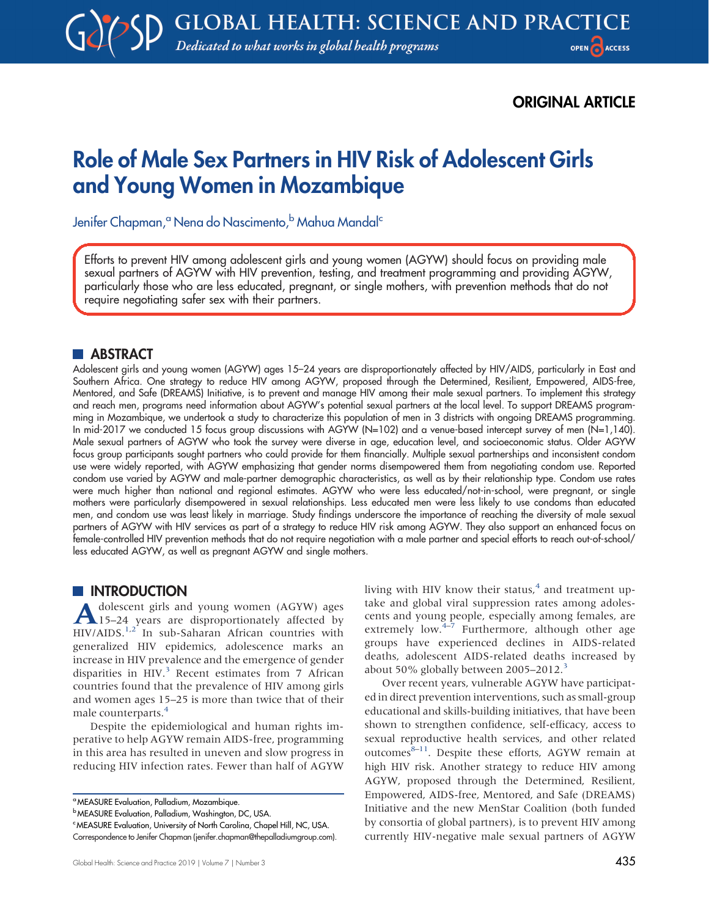# ORIGINAL ARTICLE

# Role of Male Sex Partners in HIV Risk of Adolescent Girls and Young Women in Mozambique

Jenifer Chapman,<sup>a</sup> Nena do Nascimento,<sup>b</sup> Mahua Mandal<sup>c</sup>

Efforts to prevent HIV among adolescent girls and young women (AGYW) should focus on providing male sexual partners of AGYW with HIV prevention, testing, and treatment programming and providing AGYW, particularly those who are less educated, pregnant, or single mothers, with prevention methods that do not require negotiating safer sex with their partners.

# **ABSTRACT**

Adolescent girls and young women (AGYW) ages 15–24 years are disproportionately affected by HIV/AIDS, particularly in East and Southern Africa. One strategy to reduce HIV among AGYW, proposed through the Determined, Resilient, Empowered, AIDS-free, Mentored, and Safe (DREAMS) Initiative, is to prevent and manage HIV among their male sexual partners. To implement this strategy and reach men, programs need information about AGYW's potential sexual partners at the local level. To support DREAMS programming in Mozambique, we undertook a study to characterize this population of men in 3 districts with ongoing DREAMS programming. In mid-2017 we conducted 15 focus group discussions with AGYW (N=102) and a venue-based intercept survey of men (N=1,140). Male sexual partners of AGYW who took the survey were diverse in age, education level, and socioeconomic status. Older AGYW focus group participants sought partners who could provide for them financially. Multiple sexual partnerships and inconsistent condom use were widely reported, with AGYW emphasizing that gender norms disempowered them from negotiating condom use. Reported condom use varied by AGYW and male-partner demographic characteristics, as well as by their relationship type. Condom use rates were much higher than national and regional estimates. AGYW who were less educated/not-in-school, were pregnant, or single mothers were particularly disempowered in sexual relationships. Less educated men were less likely to use condoms than educated men, and condom use was least likely in marriage. Study findings underscore the importance of reaching the diversity of male sexual partners of AGYW with HIV services as part of a strategy to reduce HIV risk among AGYW. They also support an enhanced focus on female-controlled HIV prevention methods that do not require negotiation with a male partner and special efforts to reach out-of-school/ less educated AGYW, as well as pregnant AGYW and single mothers.

INTRODUCTION<br>A dolescent girls and young women (AGYW) ages Adolescent girls and young women (AGYW) ages<br>
15–24 years are disproportionately affected by HIV/AIDS.<sup>[1,](#page-10-0)[2](#page-10-1)</sup> In sub-Saharan African countries with generalized HIV epidemics, adolescence marks an increase in HIV prevalence and the emergence of gender disparities in HIV. $3$  Recent estimates from 7 African countries found that the prevalence of HIV among girls and women ages 15–25 is more than twice that of their male counterparts.[4](#page-10-3)

Despite the epidemiological and human rights imperative to help AGYW remain AIDS-free, programming in this area has resulted in uneven and slow progress in reducing HIV infection rates. Fewer than half of AGYW

<sup>a</sup> MEASURE Evaluation, Palladium, Mozambique.

**b** MEASURE Evaluation, Palladium, Washington, DC, USA.

<sup>c</sup>MEASURE Evaluation, University of North Carolina, Chapel Hill, NC, USA. Correspondence to Jenifer Chapman [\(jenifer.chapman@thepalladiumgroup.com](mailto:jenifer.chapman@thepalladiumgroup.com)). living with HIV know their status, $4$  and treatment uptake and global viral suppression rates among adolescents and young people, especially among females, are extremely low. $4\overline{4}$  $4\overline{4}$  Furthermore, although other age groups have experienced declines in AIDS-related deaths, adolescent AIDS-related deaths increased by about 50% globally between 2005–2012.<sup>[3](#page-10-2)</sup>

Over recent years, vulnerable AGYW have participated in direct prevention interventions, such as small-group educational and skills-building initiatives, that have been shown to strengthen confidence, self-efficacy, access to sexual reproductive health services, and other related outcomes $8-11$ . Despite these efforts, AGYW remain at high HIV risk. Another strategy to reduce HIV among AGYW, proposed through the Determined, Resilient, Empowered, AIDS-free, Mentored, and Safe (DREAMS) Initiative and the new MenStar Coalition (both funded by consortia of global partners), is to prevent HIV among currently HIV-negative male sexual partners of AGYW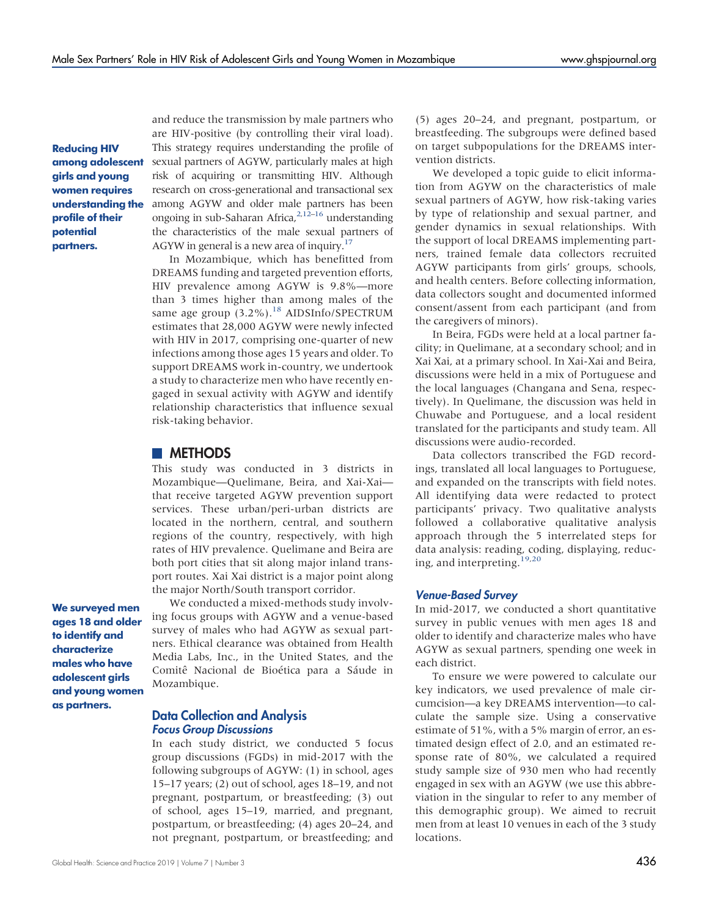Reducing HIV among adolescent girls and young women requires understanding the profile of their potential partners.

and reduce the transmission by male partners who are HIV-positive (by controlling their viral load). This strategy requires understanding the profile of sexual partners of AGYW, particularly males at high risk of acquiring or transmitting HIV. Although research on cross-generational and transactional sex among AGYW and older male partners has been ongoing in sub-Saharan Africa, $2,12-16$  $2,12-16$  $2,12-16$  $2,12-16$  understanding the characteristics of the male sexual partners of AGYW in general is a new area of inquiry.<sup>17</sup>

In Mozambique, which has benefitted from DREAMS funding and targeted prevention efforts, HIV prevalence among AGYW is 9.8%—more than 3 times higher than among males of the same age group  $(3.2\%)$ .<sup>[18](#page-10-10)</sup> AIDSInfo/SPECTRUM estimates that 28,000 AGYW were newly infected with HIV in 2017, comprising one-quarter of new infections among those ages 15 years and older. To support DREAMS work in-country, we undertook a study to characterize men who have recently engaged in sexual activity with AGYW and identify relationship characteristics that influence sexual risk-taking behavior.

# **METHODS**

This study was conducted in 3 districts in Mozambique—Quelimane, Beira, and Xai-Xai that receive targeted AGYW prevention support services. These urban/peri-urban districts are located in the northern, central, and southern regions of the country, respectively, with high rates of HIV prevalence. Quelimane and Beira are both port cities that sit along major inland transport routes. Xai Xai district is a major point along the major North/South transport corridor.

We surveyed men ages 18 and older to identify and characterize males who have adolescent girls and young women as partners.

We conducted a mixed-methods study involving focus groups with AGYW and a venue-based survey of males who had AGYW as sexual partners. Ethical clearance was obtained from Health Media Labs, Inc., in the United States, and the Comitê Nacional de Bioética para a Sáude in Mozambique.

# Data Collection and Analysis Focus Group Discussions

In each study district, we conducted 5 focus group discussions (FGDs) in mid-2017 with the following subgroups of AGYW: (1) in school, ages 15–17 years; (2) out of school, ages 18–19, and not pregnant, postpartum, or breastfeeding; (3) out of school, ages 15–19, married, and pregnant, postpartum, or breastfeeding; (4) ages 20–24, and not pregnant, postpartum, or breastfeeding; and

(5) ages 20–24, and pregnant, postpartum, or breastfeeding. The subgroups were defined based on target subpopulations for the DREAMS intervention districts.

We developed a topic guide to elicit information from AGYW on the characteristics of male sexual partners of AGYW, how risk-taking varies by type of relationship and sexual partner, and gender dynamics in sexual relationships. With the support of local DREAMS implementing partners, trained female data collectors recruited AGYW participants from girls' groups, schools, and health centers. Before collecting information, data collectors sought and documented informed consent/assent from each participant (and from the caregivers of minors).

In Beira, FGDs were held at a local partner facility; in Quelimane, at a secondary school; and in Xai Xai, at a primary school. In Xai-Xai and Beira, discussions were held in a mix of Portuguese and the local languages (Changana and Sena, respectively). In Quelimane, the discussion was held in Chuwabe and Portuguese, and a local resident translated for the participants and study team. All discussions were audio-recorded.

Data collectors transcribed the FGD recordings, translated all local languages to Portuguese, and expanded on the transcripts with field notes. All identifying data were redacted to protect participants' privacy. Two qualitative analysts followed a collaborative qualitative analysis approach through the 5 interrelated steps for data analysis: reading, coding, displaying, reducing, and interpreting.[19,](#page-10-11)[20](#page-10-12)

### Venue-Based Survey

In mid-2017, we conducted a short quantitative survey in public venues with men ages 18 and older to identify and characterize males who have AGYW as sexual partners, spending one week in each district.

To ensure we were powered to calculate our key indicators, we used prevalence of male circumcision—a key DREAMS intervention—to calculate the sample size. Using a conservative estimate of 51%, with a 5% margin of error, an estimated design effect of 2.0, and an estimated response rate of 80%, we calculated a required study sample size of 930 men who had recently engaged in sex with an AGYW (we use this abbreviation in the singular to refer to any member of this demographic group). We aimed to recruit men from at least 10 venues in each of the 3 study locations.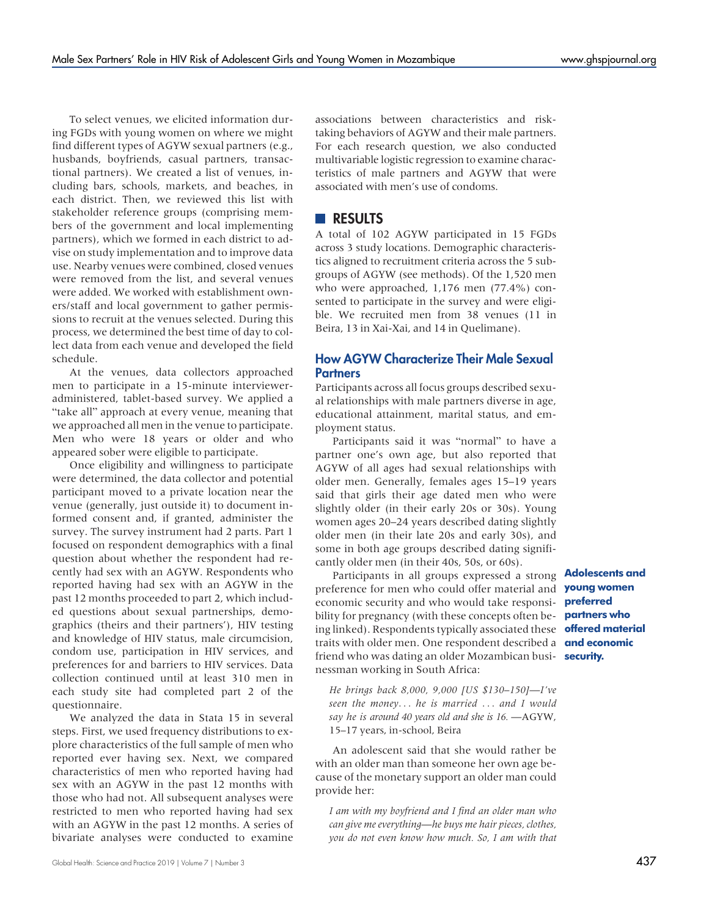To select venues, we elicited information during FGDs with young women on where we might find different types of AGYW sexual partners (e.g., husbands, boyfriends, casual partners, transactional partners). We created a list of venues, including bars, schools, markets, and beaches, in each district. Then, we reviewed this list with stakeholder reference groups (comprising members of the government and local implementing partners), which we formed in each district to advise on study implementation and to improve data use. Nearby venues were combined, closed venues were removed from the list, and several venues were added. We worked with establishment owners/staff and local government to gather permissions to recruit at the venues selected. During this process, we determined the best time of day to collect data from each venue and developed the field schedule.

At the venues, data collectors approached men to participate in a 15-minute intervieweradministered, tablet-based survey. We applied a "take all" approach at every venue, meaning that we approached all men in the venue to participate. Men who were 18 years or older and who appeared sober were eligible to participate.

Once eligibility and willingness to participate were determined, the data collector and potential participant moved to a private location near the venue (generally, just outside it) to document informed consent and, if granted, administer the survey. The survey instrument had 2 parts. Part 1 focused on respondent demographics with a final question about whether the respondent had recently had sex with an AGYW. Respondents who reported having had sex with an AGYW in the past 12 months proceeded to part 2, which included questions about sexual partnerships, demographics (theirs and their partners'), HIV testing and knowledge of HIV status, male circumcision, condom use, participation in HIV services, and preferences for and barriers to HIV services. Data collection continued until at least 310 men in each study site had completed part 2 of the questionnaire.

We analyzed the data in Stata 15 in several steps. First, we used frequency distributions to explore characteristics of the full sample of men who reported ever having sex. Next, we compared characteristics of men who reported having had sex with an AGYW in the past 12 months with those who had not. All subsequent analyses were restricted to men who reported having had sex with an AGYW in the past 12 months. A series of bivariate analyses were conducted to examine

associations between characteristics and risktaking behaviors of AGYW and their male partners. For each research question, we also conducted multivariable logistic regression to examine characteristics of male partners and AGYW that were associated with men's use of condoms.

# **RESULTS**

A total of 102 AGYW participated in 15 FGDs across 3 study locations. Demographic characteristics aligned to recruitment criteria across the 5 subgroups of AGYW (see methods). Of the 1,520 men who were approached, 1,176 men (77.4%) consented to participate in the survey and were eligible. We recruited men from 38 venues (11 in Beira, 13 in Xai-Xai, and 14 in Quelimane).

# How AGYW Characterize Their Male Sexual **Partners**

Participants across all focus groups described sexual relationships with male partners diverse in age, educational attainment, marital status, and employment status.

Participants said it was "normal" to have a partner one's own age, but also reported that AGYW of all ages had sexual relationships with older men. Generally, females ages 15–19 years said that girls their age dated men who were slightly older (in their early 20s or 30s). Young women ages 20–24 years described dating slightly older men (in their late 20s and early 30s), and some in both age groups described dating significantly older men (in their 40s, 50s, or 60s).

Participants in all groups expressed a strong preference for men who could offer material and young women economic security and who would take responsi- **preferred** bility for pregnancy (with these concepts often be- **partners who** ing linked). Respondents typically associated these **offered material** traits with older men. One respondent described a **and economic** friend who was dating an older Mozambican busi- security. nessman working in South Africa:

He brings back 8,000, 9,000 [US \$130–150]—I've seen the money... he is married ... and I would say he is around 40 years old and she is 16. - AGYW, 15–17 years, in-school, Beira

An adolescent said that she would rather be with an older man than someone her own age because of the monetary support an older man could provide her:

I am with my boyfriend and I find an older man who can give me everything—he buys me hair pieces, clothes, you do not even know how much. So, I am with that

Adolescents and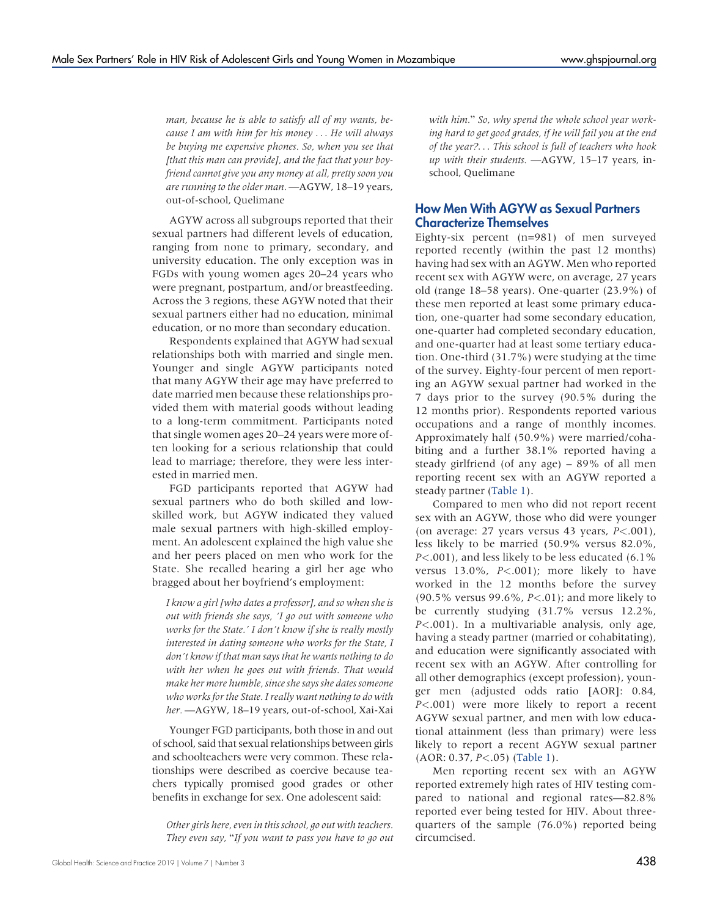man, because he is able to satisfy all of my wants, because I am with him for his money ... He will always be buying me expensive phones. So, when you see that [that this man can provide], and the fact that your boyfriend cannot give you any money at all, pretty soon you are running to the older man. —AGYW, 18–19 years, out-of-school, Quelimane

AGYW across all subgroups reported that their sexual partners had different levels of education, ranging from none to primary, secondary, and university education. The only exception was in FGDs with young women ages 20–24 years who were pregnant, postpartum, and/or breastfeeding. Across the 3 regions, these AGYW noted that their sexual partners either had no education, minimal education, or no more than secondary education.

Respondents explained that AGYW had sexual relationships both with married and single men. Younger and single AGYW participants noted that many AGYW their age may have preferred to date married men because these relationships provided them with material goods without leading to a long-term commitment. Participants noted that single women ages 20–24 years were more often looking for a serious relationship that could lead to marriage; therefore, they were less interested in married men.

FGD participants reported that AGYW had sexual partners who do both skilled and lowskilled work, but AGYW indicated they valued male sexual partners with high-skilled employment. An adolescent explained the high value she and her peers placed on men who work for the State. She recalled hearing a girl her age who bragged about her boyfriend's employment:

I know a girl [who dates a professor], and so when she is out with friends she says, 'I go out with someone who works for the State.' I don't know if she is really mostly interested in dating someone who works for the State, I don't know if that man says that he wants nothing to do with her when he goes out with friends. That would make her more humble, since she says she dates someone who works for the State. I really want nothing to do with her. —AGYW, 18–19 years, out-of-school, Xai-Xai

Younger FGD participants, both those in and out of school, said that sexual relationships between girls and schoolteachers were very common. These relationships were described as coercive because teachers typically promised good grades or other benefits in exchange for sex. One adolescent said:

Other girls here, even in this school, go out with teachers. They even say, "If you want to pass you have to go out

with him." So, why spend the whole school year working hard to get good grades, if he will fail you at the end of the year?... This school is full of teachers who hook up with their students. —AGYW, 15–17 years, inschool, Quelimane

# How Men With AGYW as Sexual Partners Characterize Themselves

Eighty-six percent (n=981) of men surveyed reported recently (within the past 12 months) having had sex with an AGYW. Men who reported recent sex with AGYW were, on average, 27 years old (range 18–58 years). One-quarter (23.9%) of these men reported at least some primary education, one-quarter had some secondary education, one-quarter had completed secondary education, and one-quarter had at least some tertiary education. One-third (31.7%) were studying at the time of the survey. Eighty-four percent of men reporting an AGYW sexual partner had worked in the 7 days prior to the survey (90.5% during the 12 months prior). Respondents reported various occupations and a range of monthly incomes. Approximately half (50.9%) were married/cohabiting and a further 38.1% reported having a steady girlfriend (of any age) – 89% of all men reporting recent sex with an AGYW reported a steady partner ([Table 1\)](#page-4-0).

Compared to men who did not report recent sex with an AGYW, those who did were younger (on average: 27 years versus 43 years,  $P < .001$ ), less likely to be married (50.9% versus 82.0%, P<.001), and less likely to be less educated (6.1% versus 13.0%, P<.001); more likely to have worked in the 12 months before the survey (90.5% versus 99.6%, P<.01); and more likely to be currently studying (31.7% versus 12.2%, P<.001). In a multivariable analysis, only age, having a steady partner (married or cohabitating), and education were significantly associated with recent sex with an AGYW. After controlling for all other demographics (except profession), younger men (adjusted odds ratio [AOR]: 0.84, P<.001) were more likely to report a recent AGYW sexual partner, and men with low educational attainment (less than primary) were less likely to report a recent AGYW sexual partner (AOR: 0.37, P<.05) [\(Table 1](#page-4-0)).

Men reporting recent sex with an AGYW reported extremely high rates of HIV testing compared to national and regional rates—82.8% reported ever being tested for HIV. About threequarters of the sample (76.0%) reported being circumcised.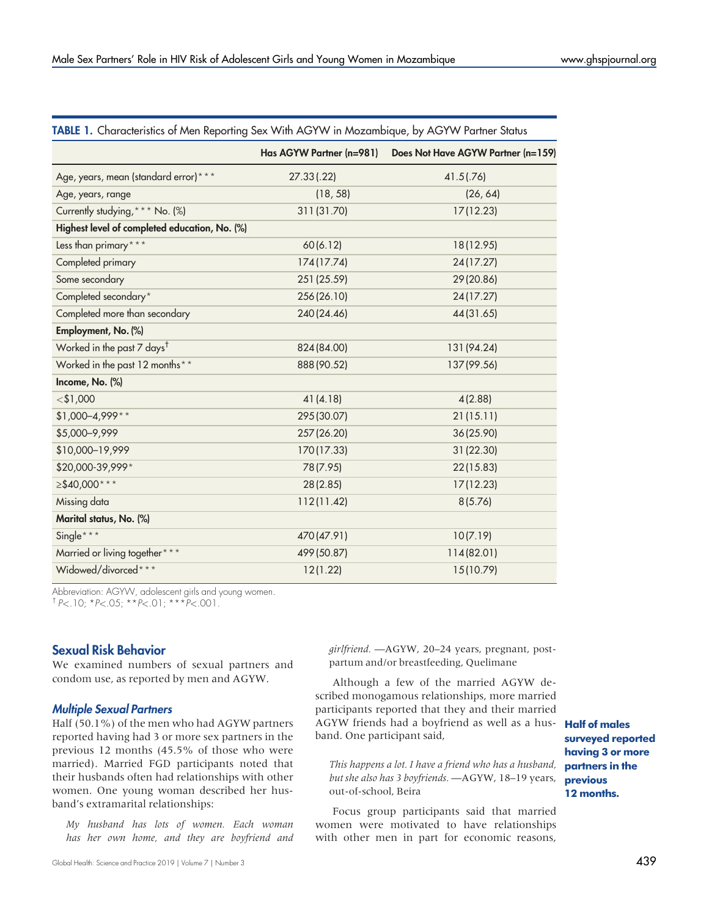|                                               | Has AGYW Partner (n=981) | Does Not Have AGYW Partner (n=159) |
|-----------------------------------------------|--------------------------|------------------------------------|
| Age, years, mean (standard error)***          | 27.33(.22)               | 41.5(.76)                          |
| Age, years, range                             | (18, 58)                 | (26, 64)                           |
| Currently studying, *** No. (%)               | 311 (31.70)              | 17(12.23)                          |
| Highest level of completed education, No. (%) |                          |                                    |
| Less than primary***                          | 60(6.12)                 | 18 (12.95)                         |
| Completed primary                             | 174 (17.74)              | 24 (17.27)                         |
| Some secondary                                | 251 (25.59)              | 29 (20.86)                         |
| Completed secondary*                          | 256 (26.10)              | 24(17.27)                          |
| Completed more than secondary                 | 240 (24.46)              | 44 (31.65)                         |
| Employment, No. (%)                           |                          |                                    |
| Worked in the past 7 days <sup>t</sup>        | 824 (84.00)              | 131 (94.24)                        |
| Worked in the past 12 months**                | 888 (90.52)              | 137 (99.56)                        |
| Income, No. (%)                               |                          |                                    |
| $<$ \$1,000                                   | 41(4.18)                 | 4(2.88)                            |
| $$1,000-4,999**$                              | 295 (30.07)              | 21(15.11)                          |
| \$5,000-9,999                                 | 257 (26.20)              | 36 (25.90)                         |
| \$10,000-19,999                               | 170 (17.33)              | 31 (22.30)                         |
| \$20,000-39,999*                              | 78 (7.95)                | 22(15.83)                          |
| $\geq$ \$40,000***                            | 28 (2.85)                | 17(12.23)                          |
| Missing data                                  | 112(11.42)               | 8(5.76)                            |
| Marital status, No. (%)                       |                          |                                    |
| Single***                                     | 470 (47.91)              | 10(7.19)                           |
| Married or living together***                 | 499 (50.87)              | 114(82.01)                         |
| Widowed/divorced***                           | 12(1.22)                 | 15 (10.79)                         |

<span id="page-4-0"></span>TABLE 1. Characteristics of Men Reporting Sex With AGYW in Mozambique, by AGYW Partner Status

Abbreviation: AGYW, adolescent girls and young women.  $\frac{1}{T}P<.10;$  \* $P<.05;$  \*\* $P<.01;$  \*\*\* $P<.001$ .

# Sexual Risk Behavior

We examined numbers of sexual partners and condom use, as reported by men and AGYW.

### Multiple Sexual Partners

Half (50.1%) of the men who had AGYW partners reported having had 3 or more sex partners in the previous 12 months (45.5% of those who were married). Married FGD participants noted that their husbands often had relationships with other women. One young woman described her husband's extramarital relationships:

My husband has lots of women. Each woman has her own home, and they are boyfriend and

girlfriend. —AGYW, 20–24 years, pregnant, postpartum and/or breastfeeding, Quelimane

Although a few of the married AGYW described monogamous relationships, more married participants reported that they and their married AGYW friends had a boyfriend as well as a husband. One participant said,

This happens a lot. I have a friend who has a husband, but she also has 3 boyfriends. —AGYW, 18–19 years, **previous** out-of-school, Beira

Focus group participants said that married women were motivated to have relationships with other men in part for economic reasons,

Half of males surveyed reported having 3 or more partners in the 12 months.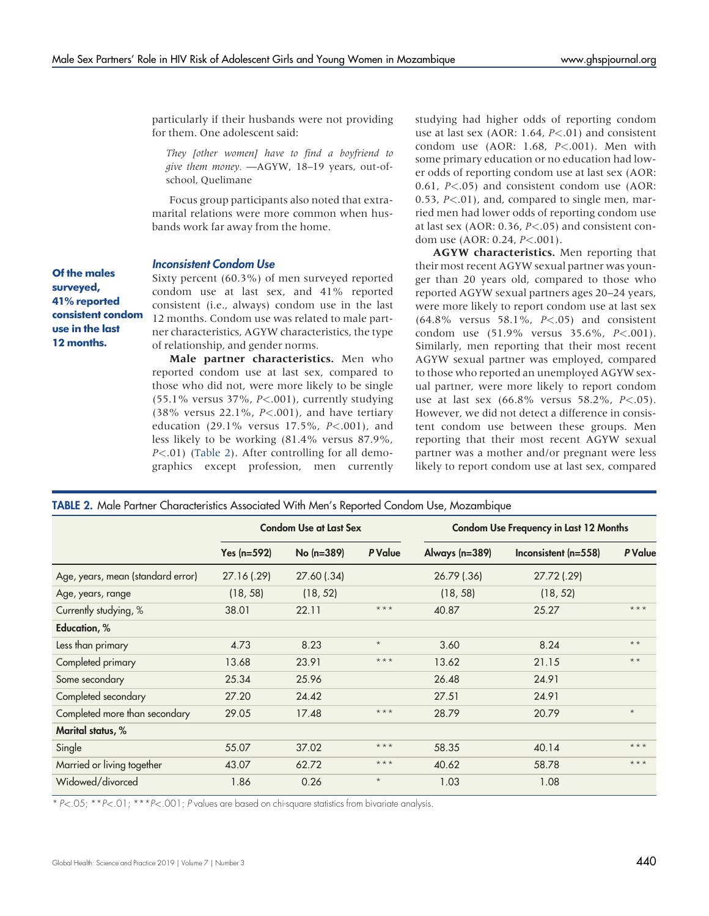particularly if their husbands were not providing for them. One adolescent said:

They [other women] have to find a boyfriend to give them money. —AGYW, 18–19 years, out-ofschool, Quelimane

Focus group participants also noted that extramarital relations were more common when husbands work far away from the home.

#### Inconsistent Condom Use

Of the males surveyed, 41% reported consistent condom use in the last 12 months.

Sixty percent (60.3%) of men surveyed reported condom use at last sex, and 41% reported consistent (i.e., always) condom use in the last 12 months. Condom use was related to male partner characteristics, AGYW characteristics, the type of relationship, and gender norms.

Male partner characteristics. Men who reported condom use at last sex, compared to those who did not, were more likely to be single  $(55.1\%$  versus 37%, P<.001), currently studying (38% versus 22.1%, P<.001), and have tertiary education (29.1% versus 17.5%, P<.001), and less likely to be working (81.4% versus 87.9%, P<.01) [\(Table 2](#page-5-0)). After controlling for all demographics except profession, men currently studying had higher odds of reporting condom use at last sex (AOR: 1.64, P<.01) and consistent condom use (AOR: 1.68, P<.001). Men with some primary education or no education had lower odds of reporting condom use at last sex (AOR: 0.61, P<.05) and consistent condom use (AOR: 0.53,  $P<.01$ ), and, compared to single men, married men had lower odds of reporting condom use at last sex (AOR: 0.36, P<.05) and consistent condom use (AOR: 0.24, P<.001).

AGYW characteristics. Men reporting that their most recent AGYW sexual partner was younger than 20 years old, compared to those who reported AGYW sexual partners ages 20–24 years, were more likely to report condom use at last sex  $(64.8\%$  versus 58.1%,  $P < .05$  and consistent condom use (51.9% versus 35.6%, P<.001). Similarly, men reporting that their most recent AGYW sexual partner was employed, compared to those who reported an unemployed AGYW sexual partner, were more likely to report condom use at last sex  $(66.8\% \text{ versus } 58.2\%, P < .05)$ . However, we did not detect a difference in consistent condom use between these groups. Men reporting that their most recent AGYW sexual partner was a mother and/or pregnant were less likely to report condom use at last sex, compared

|                                   |               | <b>Condom Use at Last Sex</b> |          | <b>Condom Use Frequency in Last 12 Months</b> |                        |                 |  |  |  |
|-----------------------------------|---------------|-------------------------------|----------|-----------------------------------------------|------------------------|-----------------|--|--|--|
|                                   | Yes $(n=592)$ | $No (n=389)$                  | P Value  | Always $(n=389)$                              | Inconsistent $(n=558)$ | P Value         |  |  |  |
| Age, years, mean (standard error) | 27.16(.29)    | 27.60 (.34)                   |          | 26.79 (.36)                                   | 27.72 (.29)            |                 |  |  |  |
| Age, years, range                 | (18, 58)      | (18, 52)                      |          | (18, 58)                                      | (18, 52)               |                 |  |  |  |
| Currently studying, %             | 38.01         | 22.11                         | $***$    | 40.87                                         | 25.27                  | $***$           |  |  |  |
| Education, %                      |               |                               |          |                                               |                        |                 |  |  |  |
| Less than primary                 | 4.73          | 8.23                          | $\star$  | 3.60                                          | 8.24                   | $\star$ $\star$ |  |  |  |
| Completed primary                 | 13.68         | 23.91                         | $***$    | 13.62                                         | 21.15                  | $\star$ $\star$ |  |  |  |
| Some secondary                    | 25.34         | 25.96                         |          | 26.48                                         | 24.91                  |                 |  |  |  |
| Completed secondary               | 27.20         | 24.42                         |          | 27.51                                         | 24.91                  |                 |  |  |  |
| Completed more than secondary     | 29.05         | 17.48                         | $***$    | 28.79                                         | 20.79                  | $\star$         |  |  |  |
| Marital status, %                 |               |                               |          |                                               |                        |                 |  |  |  |
| Single                            | 55.07         | 37.02                         | $***$    | 58.35                                         | 40.14                  | $***$           |  |  |  |
| Married or living together        | 43.07         | 62.72                         | $***$    | 40.62                                         | 58.78                  | $***$           |  |  |  |
| Widowed/divorced                  | 1.86          | 0.26                          | $^\star$ | 1.03                                          | 1.08                   |                 |  |  |  |

#### <span id="page-5-0"></span>TABLE 2. Male Partner Characteristics Associated With Men's Reported Condom Use, Mozambique

\* P<.05; \*\*P<.01; \*\*\*P<.001; P values are based on chi-square statistics from bivariate analysis.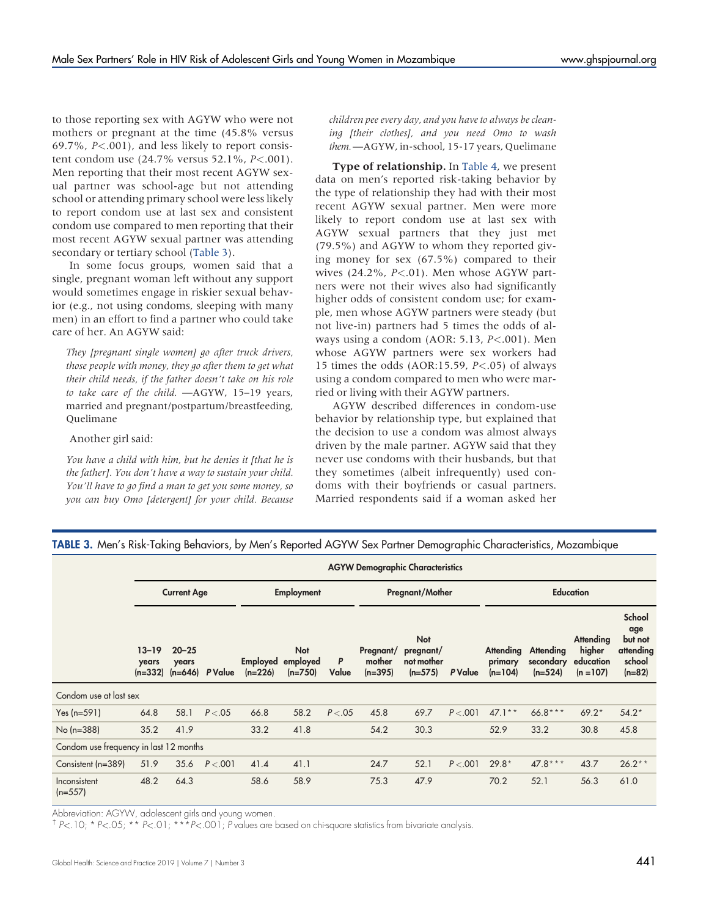to those reporting sex with AGYW who were not mothers or pregnant at the time (45.8% versus 69.7%,  $P<.001$ ), and less likely to report consistent condom use (24.7% versus 52.1%, P<.001). Men reporting that their most recent AGYW sexual partner was school-age but not attending school or attending primary school were less likely to report condom use at last sex and consistent condom use compared to men reporting that their most recent AGYW sexual partner was attending secondary or tertiary school ([Table 3\)](#page-6-0).

In some focus groups, women said that a single, pregnant woman left without any support would sometimes engage in riskier sexual behavior (e.g., not using condoms, sleeping with many men) in an effort to find a partner who could take care of her. An AGYW said:

They [pregnant single women] go after truck drivers, those people with money, they go after them to get what their child needs, if the father doesn't take on his role to take care of the child. —AGYW, 15–19 years, married and pregnant/postpartum/breastfeeding, Quelimane

#### Another girl said:

You have a child with him, but he denies it [that he is the father]. You don't have a way to sustain your child. You'll have to go find a man to get you some money, so you can buy Omo [detergent] for your child. Because children pee every day, and you have to always be cleaning [their clothes], and you need Omo to wash them.—AGYW, in-school, 15-17 years, Quelimane

**Type of relationship.** In [Table 4](#page-7-0), we present data on men's reported risk-taking behavior by the type of relationship they had with their most recent AGYW sexual partner. Men were more likely to report condom use at last sex with AGYW sexual partners that they just met (79.5%) and AGYW to whom they reported giving money for sex (67.5%) compared to their wives (24.2%, P<.01). Men whose AGYW partners were not their wives also had significantly higher odds of consistent condom use; for example, men whose AGYW partners were steady (but not live-in) partners had 5 times the odds of always using a condom (AOR: 5.13, P<.001). Men whose AGYW partners were sex workers had 15 times the odds  $(AOR:15.59, P \lt .05)$  of always using a condom compared to men who were married or living with their AGYW partners.

AGYW described differences in condom-use behavior by relationship type, but explained that the decision to use a condom was almost always driven by the male partner. AGYW said that they never use condoms with their husbands, but that they sometimes (albeit infrequently) used condoms with their boyfriends or casual partners. Married respondents said if a woman asked her

<span id="page-6-0"></span>

|  |  |  |  | TABLE 3. Men's Risk-Taking Behaviors, by Men's Reported AGYW Sex Partner Demographic Characteristics, Mozambique |  |
|--|--|--|--|------------------------------------------------------------------------------------------------------------------|--|
|  |  |  |  |                                                                                                                  |  |

|                                        | <b>AGYW Demographic Characteristics</b> |                               |          |                   |                                       |            |                                  |                                                    |          |                                   |                                     |                                                 |                                                                    |
|----------------------------------------|-----------------------------------------|-------------------------------|----------|-------------------|---------------------------------------|------------|----------------------------------|----------------------------------------------------|----------|-----------------------------------|-------------------------------------|-------------------------------------------------|--------------------------------------------------------------------|
|                                        | <b>Current Age</b>                      |                               |          | <b>Employment</b> |                                       |            | Pregnant/Mother                  |                                                    |          | <b>Education</b>                  |                                     |                                                 |                                                                    |
|                                        | $13 - 19$<br>years<br>$(n=332)$         | $20 - 25$<br>years<br>(n=646) | P Value  | $(n=226)$         | Not<br>Employed employed<br>$(n=750)$ | P<br>Value | Pregnant/<br>mother<br>$(n=395)$ | <b>Not</b><br>pregnant/<br>not mother<br>$(n=575)$ | P Value  | Attending<br>primary<br>$(n=104)$ | Attending<br>secondary<br>$(n=524)$ | Attending<br>higher<br>education<br>$(n = 107)$ | <b>School</b><br>age<br>but not<br>attending<br>school<br>$(n=82)$ |
| Condom use at last sex                 |                                         |                               |          |                   |                                       |            |                                  |                                                    |          |                                   |                                     |                                                 |                                                                    |
| Yes $(n=591)$                          | 64.8                                    | 58.1                          | P < .05  | 66.8              | 58.2                                  | P < 0.05   | 45.8                             | 69.7                                               | P < .001 | $47.1**$                          | $66.8***$                           | $69.2*$                                         | $54.2*$                                                            |
| $No(n=388)$                            | 35.2                                    | 41.9                          |          | 33.2              | 41.8                                  |            | 54.2                             | 30.3                                               |          | 52.9                              | 33.2                                | 30.8                                            | 45.8                                                               |
| Condom use frequency in last 12 months |                                         |                               |          |                   |                                       |            |                                  |                                                    |          |                                   |                                     |                                                 |                                                                    |
| Consistent (n=389)                     | 51.9                                    | 35.6                          | P < .001 | 41.4              | 41.1                                  |            | 24.7                             | 52.1                                               | P < .001 | $29.8*$                           | $47.8***$                           | 43.7                                            | $26.2**$                                                           |
| Inconsistent<br>$(n=557)$              | 48.2                                    | 64.3                          |          | 58.6              | 58.9                                  |            | 75.3                             | 47.9                                               |          | 70.2                              | 52.1                                | 56.3                                            | 61.0                                                               |

Abbreviation: AGYW, adolescent girls and young women.

 $\frac{1}{2}$  P<.10; \* P<.05; \*\* P<.01; \*\*\*P<.001; P values are based on chi-square statistics from bivariate analysis.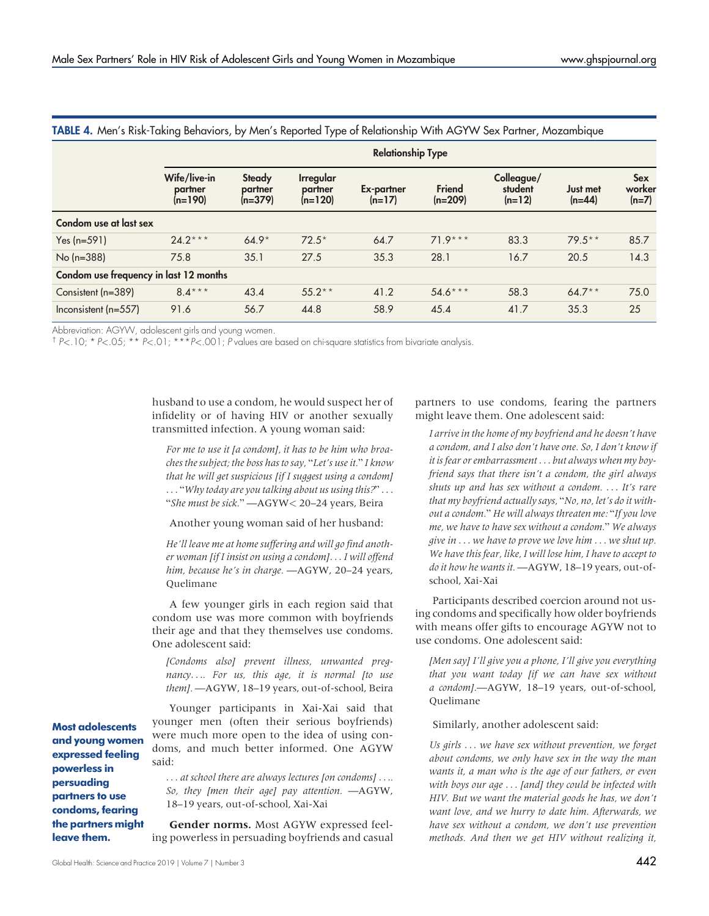|                                        |                                      |                                | . .                                      |                        |                            |                                   |                      |                                 |  |  |
|----------------------------------------|--------------------------------------|--------------------------------|------------------------------------------|------------------------|----------------------------|-----------------------------------|----------------------|---------------------------------|--|--|
|                                        | <b>Relationship Type</b>             |                                |                                          |                        |                            |                                   |                      |                                 |  |  |
|                                        | Wife/live-in<br>partner<br>$(n=190)$ | Steady<br>partner<br>$(n=379)$ | <b>Irregular</b><br>partner<br>$(n=120)$ | Ex-partner<br>$(n=17)$ | <b>Friend</b><br>$(n=209)$ | Colleague/<br>student<br>$(n=12)$ | Just met<br>$(n=44)$ | <b>Sex</b><br>worker<br>$(n=7)$ |  |  |
| Condom use at last sex                 |                                      |                                |                                          |                        |                            |                                   |                      |                                 |  |  |
| Yes $(n=591)$                          | $24.2***$                            | $64.9*$                        | $72.5*$                                  | 64.7                   | $71.9***$                  | 83.3                              | $79.5***$            | 85.7                            |  |  |
| No (n=388)                             | 75.8                                 | 35.1                           | 27.5                                     | 35.3                   | 28.1                       | 16.7                              | 20.5                 | 14.3                            |  |  |
| Condom use frequency in last 12 months |                                      |                                |                                          |                        |                            |                                   |                      |                                 |  |  |
| Consistent (n=389)                     | $8.4***$                             | 43.4                           | $55.2**$                                 | 41.2                   | $54.6***$                  | 58.3                              | $64.7**$             | 75.0                            |  |  |
| Inconsistent ( $n=557$ )               | 91.6                                 | 56.7                           | 44.8                                     | 58.9                   | 45.4                       | 41.7                              | 35.3                 | 25                              |  |  |

<span id="page-7-0"></span>TABLE 4. Men's Risk-Taking Behaviors, by Men's Reported Type of Relationship With AGYW Sex Partner, Mozambique

Abbreviation: AGYW, adolescent girls and young women.

<sup>†</sup>  $P$ <.10; \*  $P$ <.05; \*\*  $P$ <.01; \*\*\* $P$ <.001; P values are based on chi-square statistics from bivariate analysis.

husband to use a condom, he would suspect her of infidelity or of having HIV or another sexually transmitted infection. A young woman said:

For me to use it [a condom], it has to be him who broaches the subject; the boss has to say, "Let's use it." I know that he will get suspicious [if I suggest using a condom] ... "Why today are you talking about us using this?" ... "She must be sick." —AGYW< 20–24 years, Beira

Another young woman said of her husband:

He'll leave me at home suffering and will go find another woman [if I insist on using a condom]... I will offend him, because he's in charge. - AGYW, 20-24 years, Quelimane

A few younger girls in each region said that condom use was more common with boyfriends their age and that they themselves use condoms. One adolescent said:

[Condoms also] prevent illness, unwanted pregnancy.... For us, this age, it is normal [to use them]. —AGYW, 18–19 years, out-of-school, Beira

Younger participants in Xai-Xai said that younger men (often their serious boyfriends) were much more open to the idea of using condoms, and much better informed. One AGYW said:

... at school there are always lectures [on condoms] .... So, they [men their age] pay attention.  $-AGYW$ , 18–19 years, out-of-school, Xai-Xai

Gender norms. Most AGYW expressed feeling powerless in persuading boyfriends and casual

partners to use condoms, fearing the partners might leave them. One adolescent said:

I arrive in the home of my boyfriend and he doesn't have a condom, and I also don't have one. So, I don't know if it is fear or embarrassment ... but always when my boyfriend says that there isn't a condom, the girl always shuts up and has sex without a condom. ... It's rare that my boyfriend actually says, "No, no, let's do it without a condom." He will always threaten me: "If you love me, we have to have sex without a condom." We always give in ... we have to prove we love him ... we shut up. We have this fear, like, I will lose him, I have to accept to do it how he wants it. —AGYW, 18–19 years, out-ofschool, Xai-Xai

Participants described coercion around not using condoms and specifically how older boyfriends with means offer gifts to encourage AGYW not to use condoms. One adolescent said:

[Men say] I'll give you a phone, I'll give you everything that you want today [if we can have sex without a condom].—AGYW, 18–19 years, out-of-school, Quelimane

Similarly, another adolescent said:

Us girls ... we have sex without prevention, we forget about condoms, we only have sex in the way the man wants it, a man who is the age of our fathers, or even with boys our age ... [and] they could be infected with HIV. But we want the material goods he has, we don't want love, and we hurry to date him. Afterwards, we have sex without a condom, we don't use prevention methods. And then we get HIV without realizing it,

Most adolescents and young women expressed feeling powerless in persuading partners to use condoms, fearing the partners might leave them.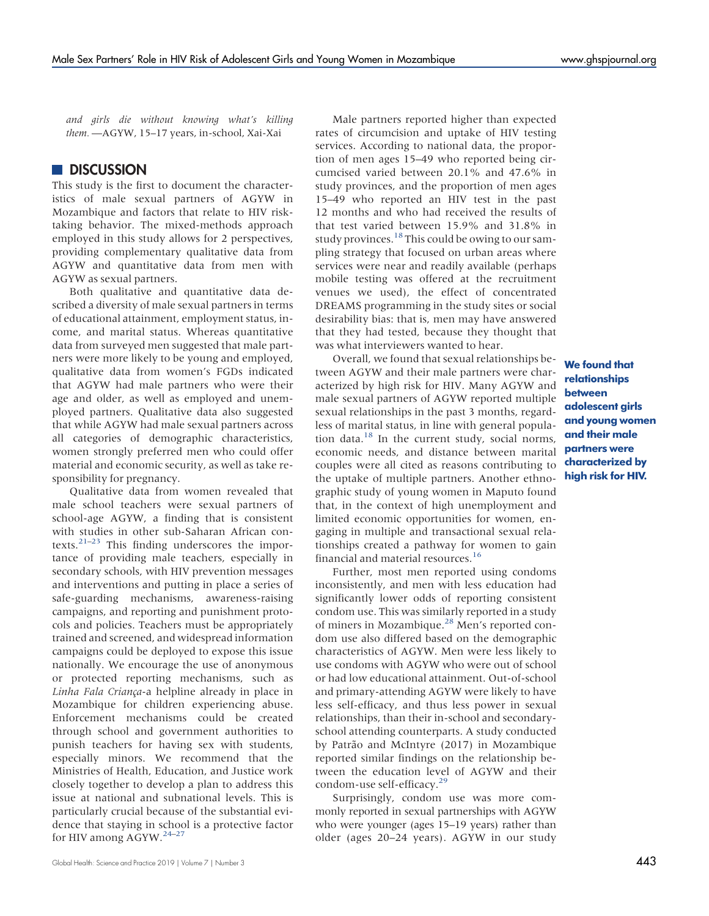and girls die without knowing what's killing them. —AGYW, 15–17 years, in-school, Xai-Xai

# **DISCUSSION**

This study is the first to document the characteristics of male sexual partners of AGYW in Mozambique and factors that relate to HIV risktaking behavior. The mixed-methods approach employed in this study allows for 2 perspectives, providing complementary qualitative data from AGYW and quantitative data from men with AGYW as sexual partners.

Both qualitative and quantitative data described a diversity of male sexual partners in terms of educational attainment, employment status, income, and marital status. Whereas quantitative data from surveyed men suggested that male partners were more likely to be young and employed, qualitative data from women's FGDs indicated that AGYW had male partners who were their age and older, as well as employed and unemployed partners. Qualitative data also suggested that while AGYW had male sexual partners across all categories of demographic characteristics, women strongly preferred men who could offer material and economic security, as well as take responsibility for pregnancy.

Qualitative data from women revealed that male school teachers were sexual partners of school-age AGYW, a finding that is consistent with studies in other sub-Saharan African contexts. $21-23$  $21-23$  $21-23$  This finding underscores the importance of providing male teachers, especially in secondary schools, with HIV prevention messages and interventions and putting in place a series of safe-guarding mechanisms, awareness-raising campaigns, and reporting and punishment protocols and policies. Teachers must be appropriately trained and screened, and widespread information campaigns could be deployed to expose this issue nationally. We encourage the use of anonymous or protected reporting mechanisms, such as Linha Fala Criança-a helpline already in place in Mozambique for children experiencing abuse. Enforcement mechanisms could be created through school and government authorities to punish teachers for having sex with students, especially minors. We recommend that the Ministries of Health, Education, and Justice work closely together to develop a plan to address this issue at national and subnational levels. This is particularly crucial because of the substantial evidence that staying in school is a protective factor for HIV among AGYW.<sup>[24](#page-10-15)-[27](#page-10-16)</sup>

Male partners reported higher than expected rates of circumcision and uptake of HIV testing services. According to national data, the proportion of men ages 15–49 who reported being circumcised varied between 20.1% and 47.6% in study provinces, and the proportion of men ages 15–49 who reported an HIV test in the past 12 months and who had received the results of that test varied between 15.9% and 31.8% in study provinces.<sup>18</sup> This could be owing to our sampling strategy that focused on urban areas where services were near and readily available (perhaps mobile testing was offered at the recruitment venues we used), the effect of concentrated DREAMS programming in the study sites or social desirability bias: that is, men may have answered that they had tested, because they thought that was what interviewers wanted to hear.

Overall, we found that sexual relationships between AGYW and their male partners were characterized by high risk for HIV. Many AGYW and male sexual partners of AGYW reported multiple sexual relationships in the past 3 months, regardless of marital status, in line with general population data[.18](#page-10-10) In the current study, social norms, economic needs, and distance between marital couples were all cited as reasons contributing to the uptake of multiple partners. Another ethnographic study of young women in Maputo found that, in the context of high unemployment and limited economic opportunities for women, engaging in multiple and transactional sexual relationships created a pathway for women to gain financial and material resources.<sup>[16](#page-10-8)</sup>

Further, most men reported using condoms inconsistently, and men with less education had significantly lower odds of reporting consistent condom use. This was similarly reported in a study of miners in Mozambique.[28](#page-10-17) Men's reported condom use also differed based on the demographic characteristics of AGYW. Men were less likely to use condoms with AGYW who were out of school or had low educational attainment. Out-of-school and primary-attending AGYW were likely to have less self-efficacy, and thus less power in sexual relationships, than their in-school and secondaryschool attending counterparts. A study conducted by Patrão and McIntyre (2017) in Mozambique reported similar findings on the relationship between the education level of AGYW and their condom-use self-efficacy.<sup>[29](#page-11-0)</sup>

Surprisingly, condom use was more commonly reported in sexual partnerships with AGYW who were younger (ages 15–19 years) rather than older (ages 20–24 years). AGYW in our study

We found that relationships between adolescent girls and young women and their male partners were characterized by high risk for HIV.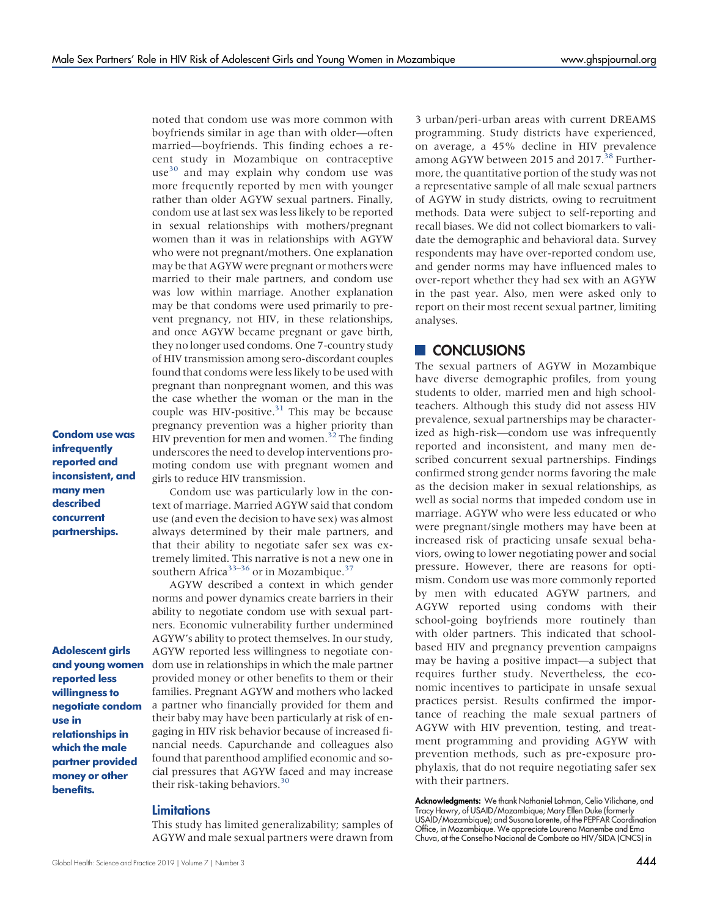noted that condom use was more common with boyfriends similar in age than with older—often married—boyfriends. This finding echoes a recent study in Mozambique on contraceptive use<sup>[30](#page-11-1)</sup> and may explain why condom use was more frequently reported by men with younger rather than older AGYW sexual partners. Finally, condom use at last sex was less likely to be reported in sexual relationships with mothers/pregnant women than it was in relationships with AGYW who were not pregnant/mothers. One explanation may be that AGYW were pregnant or mothers were married to their male partners, and condom use was low within marriage. Another explanation may be that condoms were used primarily to prevent pregnancy, not HIV, in these relationships, and once AGYW became pregnant or gave birth, they no longer used condoms. One 7-country study of HIV transmission among sero-discordant couples found that condoms were less likely to be used with pregnant than nonpregnant women, and this was the case whether the woman or the man in the couple was HIV-positive. $31$  This may be because pregnancy prevention was a higher priority than HIV prevention for men and women.<sup>32</sup> The finding underscores the need to develop interventions promoting condom use with pregnant women and girls to reduce HIV transmission.

Condom use was **infrequently** reported and inconsistent, and many men described concurrent partnerships.

Adolescent girls and young women reported less willingness to negotiate condom use in relationships in which the male partner provided money or other benefits.

Condom use was particularly low in the context of marriage. Married AGYW said that condom use (and even the decision to have sex) was almost always determined by their male partners, and that their ability to negotiate safer sex was extremely limited. This narrative is not a new one in southern Africa<sup>[33](#page-11-4)–[36](#page-11-5)</sup> or in Mozambique.<sup>[37](#page-11-6)</sup>

AGYW described a context in which gender norms and power dynamics create barriers in their ability to negotiate condom use with sexual partners. Economic vulnerability further undermined AGYW's ability to protect themselves. In our study, AGYW reported less willingness to negotiate condom use in relationships in which the male partner provided money or other benefits to them or their families. Pregnant AGYW and mothers who lacked a partner who financially provided for them and their baby may have been particularly at risk of engaging in HIV risk behavior because of increased financial needs. Capurchande and colleagues also found that parenthood amplified economic and social pressures that AGYW faced and may increase their risk-taking behaviors.<sup>30</sup>

### **Limitations**

This study has limited generalizability; samples of AGYW and male sexual partners were drawn from

3 urban/peri-urban areas with current DREAMS programming. Study districts have experienced, on average, a 45% decline in HIV prevalence among AGYW between 2015 and 2017.<sup>38</sup> Furthermore, the quantitative portion of the study was not a representative sample of all male sexual partners of AGYW in study districts, owing to recruitment methods. Data were subject to self-reporting and recall biases. We did not collect biomarkers to validate the demographic and behavioral data. Survey respondents may have over-reported condom use, and gender norms may have influenced males to over-report whether they had sex with an AGYW in the past year. Also, men were asked only to report on their most recent sexual partner, limiting analyses.

# **CONCLUSIONS**

The sexual partners of AGYW in Mozambique have diverse demographic profiles, from young students to older, married men and high schoolteachers. Although this study did not assess HIV prevalence, sexual partnerships may be characterized as high-risk—condom use was infrequently reported and inconsistent, and many men described concurrent sexual partnerships. Findings confirmed strong gender norms favoring the male as the decision maker in sexual relationships, as well as social norms that impeded condom use in marriage. AGYW who were less educated or who were pregnant/single mothers may have been at increased risk of practicing unsafe sexual behaviors, owing to lower negotiating power and social pressure. However, there are reasons for optimism. Condom use was more commonly reported by men with educated AGYW partners, and AGYW reported using condoms with their school-going boyfriends more routinely than with older partners. This indicated that schoolbased HIV and pregnancy prevention campaigns may be having a positive impact—a subject that requires further study. Nevertheless, the economic incentives to participate in unsafe sexual practices persist. Results confirmed the importance of reaching the male sexual partners of AGYW with HIV prevention, testing, and treatment programming and providing AGYW with prevention methods, such as pre-exposure prophylaxis, that do not require negotiating safer sex with their partners.

Acknowledgments: We thank Nathaniel Lohman, Celio Vilichane, and Tracy Hawry, of USAID/Mozambique; Mary Ellen Duke (formerly USAID/Mozambique); and Susana Lorente, of the PEPFAR Coordination Office, in Mozambique. We appreciate Lourena Manembe and Ema Chuva, at the Conselho Nacional de Combate ao HIV/SIDA (CNCS) in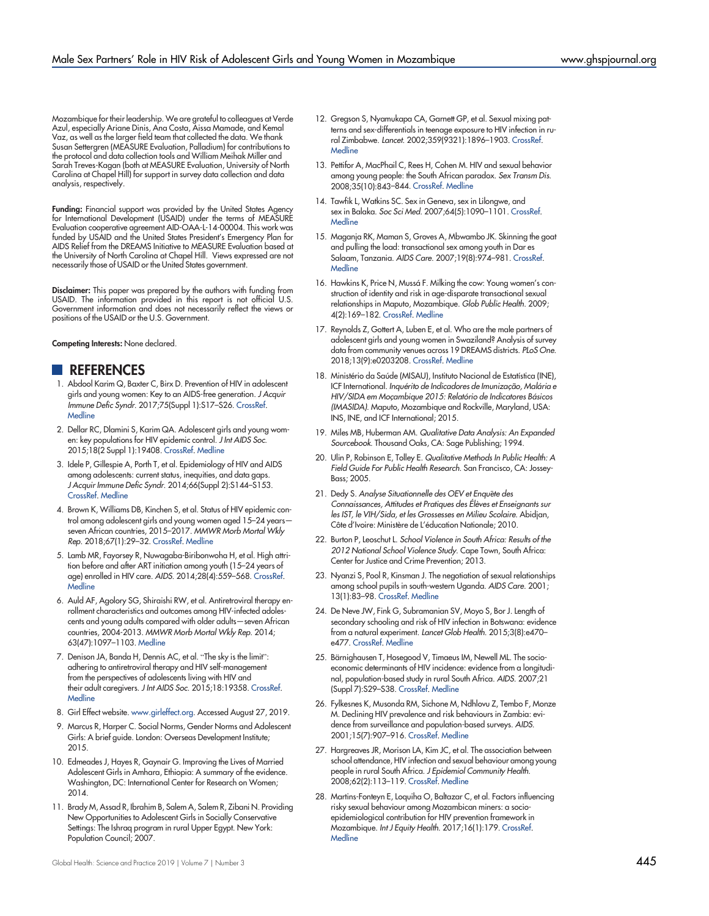Mozambique for their leadership. We are grateful to colleagues at Verde Azul, especially Ariane Dinis, Ana Costa, Aissa Mamade, and Kemal Vaz, as well as the larger field team that collected the data. We thank Susan Settergren (MEASURE Evaluation, Palladium) for contributions to the protocol and data collection tools and William Meihak Miller and Sarah Treves-Kagan (both at MEASURE Evaluation, University of North Carolina at Chapel Hill) for support in survey data collection and data analysis, respectively.

**Funding:** Financial support was provided by the United States Agency for International Development (USAID) under the terms of MEASURE Evaluation cooperative agreement AID-OAA-L-14-00004. This work was funded by USAID and the United States President's Emergency Plan for AIDS Relief from the DREAMS Initiative to MEASURE Evaluation based at the University of North Carolina at Chapel Hill. Views expressed are not necessarily those of USAID or the United States government.

Disclaimer: This paper was prepared by the authors with funding from USAID. The information provided in this report is not official U.S. Government information and does not necessarily reflect the views or positions of the USAID or the U.S. Government.

Competing Interests: None declared.

# **REFERENCES**

- <span id="page-10-0"></span>1. Abdool Karim Q, Baxter C, Birx D. Prevention of HIV in adolescent girls and young women: Key to an AIDS-free generation. J Acquir Immune Defic Syndr. 2017;75(Suppl 1):S17–S26. [CrossRef](https://doi.org/10.1097/QAI.0000000000001316). **[Medline](http://www.ncbi.nlm.nih.gov/pubmed/28398993)**
- <span id="page-10-1"></span>2. Dellar RC, Dlamini S, Karim QA. Adolescent girls and young women: key populations for HIV epidemic control. J Int AIDS Soc. 2015;18(2 Suppl 1):19408. [CrossRef.](https://doi.org/10.7448/IAS.18.2.19408) [Medline](http://www.ncbi.nlm.nih.gov/pubmed/25724504)
- <span id="page-10-2"></span>3. Idele P, Gillespie A, Porth T, et al. Epidemiology of HIV and AIDS among adolescents: current status, inequities, and data gaps. J Acquir Immune Defic Syndr. 2014;66(Suppl 2):S144–S153. [CrossRef.](https://doi.org/10.1097/QAI.0000000000000176) [Medline](http://www.ncbi.nlm.nih.gov/pubmed/24918590)
- <span id="page-10-3"></span>4. Brown K, Williams DB, Kinchen S, et al. Status of HIV epidemic control among adolescent girls and young women aged 15–24 years seven African countries, 2015–2017. MMWR Morb Mortal Wkly Rep. 2018;67(1):29–32. [CrossRef](https://doi.org/10.15585/mmwr.mm6701a6). [Medline](http://www.ncbi.nlm.nih.gov/pubmed/29329280)
- 5. Lamb MR, Fayorsey R, Nuwagaba-Biribonwoha H, et al. High attrition before and after ART initiation among youth (15–24 years of age) enrolled in HIV care. AIDS. 2014;28(4):559–568. [CrossRef](https://doi.org/10.1097/QAD.0000000000000054). **[Medline](http://www.ncbi.nlm.nih.gov/pubmed/24076661)**
- 6. Auld AF, Agolory SG, Shiraishi RW, et al. Antiretroviral therapy enrollment characteristics and outcomes among HIV-infected adolescents and young adults compared with older adults—seven African countries, 2004-2013. MMWR Morb Mortal Wkly Rep. 2014; 63(47):1097–1103. [Medline](http://www.ncbi.nlm.nih.gov/pubmed/25426651)
- <span id="page-10-4"></span>7. Denison JA, Banda H, Dennis AC, et al. "The sky is the limit": adhering to antiretroviral therapy and HIV self-management from the perspectives of adolescents living with HIV and their adult caregivers. J Int AIDS Soc. 2015;18:19358. [CrossRef](https://doi.org/10.7448/IAS.18.1.19358). **[Medline](http://www.ncbi.nlm.nih.gov/pubmed/25591915)**
- <span id="page-10-5"></span>8. Girl Effect website. [www.girleffect.org.](http://www.girleffect.org) Accessed August 27, 2019.
- 9. Marcus R, Harper C. Social Norms, Gender Norms and Adolescent Girls: A brief guide. London: Overseas Development Institute; 2015.
- 10. Edmeades J, Hayes R, Gaynair G. Improving the Lives of Married Adolescent Girls in Amhara, Ethiopia: A summary of the evidence. Washington, DC: International Center for Research on Women; 2014.
- <span id="page-10-6"></span>11. Brady M, Assad R, Ibrahim B, Salem A, Salem R, Zibani N. Providing New Opportunities to Adolescent Girls in Socially Conservative Settings: The Ishraq program in rural Upper Egypt. New York: Population Council; 2007.
- <span id="page-10-7"></span>12. Gregson S, Nyamukapa CA, Garnett GP, et al. Sexual mixing patterns and sex-differentials in teenage exposure to HIV infection in rural Zimbabwe. Lancet. 2002;359(9321):1896–1903. [CrossRef](https://doi.org/10.1016/S0140-6736(02)08780-9). **[Medline](http://www.ncbi.nlm.nih.gov/pubmed/12057552)**
- 13. Pettifor A, MacPhail C, Rees H, Cohen M. HIV and sexual behavior among young people: the South African paradox. Sex Transm Dis. 2008;35(10):843–844. [CrossRef.](https://doi.org/10.1097/OLQ.0b013e31818318c0) [Medline](http://www.ncbi.nlm.nih.gov/pubmed/18716569)
- 14. Tawfik L, Watkins SC. Sex in Geneva, sex in Lilongwe, and sex in Balaka. Soc Sci Med. 2007;64(5):1090–1101. [CrossRef](https://doi.org/10.1016/j.socscimed.2006.10.002). **[Medline](http://www.ncbi.nlm.nih.gov/pubmed/17123678)**
- 15. Maganja RK, Maman S, Groves A, Mbwambo JK. Skinning the goat and pulling the load: transactional sex among youth in Dar es Salaam, Tanzania. AIDS Care. 2007;19(8):974–981. [CrossRef](https://doi.org/10.1080/09540120701294286). **[Medline](http://www.ncbi.nlm.nih.gov/pubmed/17851993)**
- <span id="page-10-8"></span>16. Hawkins K, Price N, Mussá F. Milking the cow: Young women's construction of identity and risk in age-disparate transactional sexual relationships in Maputo, Mozambique. Glob Public Health. 2009; 4(2):169–182. [CrossRef.](https://doi.org/10.1080/17441690701589813) [Medline](http://www.ncbi.nlm.nih.gov/pubmed/19333807)
- <span id="page-10-9"></span>17. Reynolds Z, Gottert A, Luben E, et al. Who are the male partners of adolescent girls and young women in Swaziland? Analysis of survey data from community venues across 19 DREAMS districts. PLoS One. 2018;13(9):e0203208. [CrossRef.](https://doi.org/10.1371/journal.pone.0203208) [Medline](http://www.ncbi.nlm.nih.gov/pubmed/30216356)
- <span id="page-10-10"></span>18. Ministério da Saúde (MISAU), Instituto Nacional de Estatística (INE), ICF International. Inquérito de Indicadores de Imunização, Malária e HIV/SIDA em Moçambique 2015: Relatório de Indicatores Básicos (IMASIDA). Maputo, Mozambique and Rockville, Maryland, USA: INS, INE, and ICF International; 2015.
- <span id="page-10-11"></span>19. Miles MB, Huberman AM. Qualitative Data Analysis: An Expanded Sourcebook. Thousand Oaks, CA: Sage Publishing; 1994.
- <span id="page-10-12"></span>20. Ulin P, Robinson E, Tolley E. Qualitative Methods In Public Health: A Field Guide For Public Health Research. San Francisco, CA: Jossey-Bass; 2005.
- <span id="page-10-13"></span>21. Dedy S. Analyse Situationnelle des OEV et Enquēte des Connaissances, Attitudes et Pratiques des Élèves et Enseignants sur les IST, le VIH/Sida, et les Grossesses en Milieu Scolaire. Abidjan, Côte d'Ivoire: Ministère de L'éducation Nationale; 2010.
- 22. Burton P, Leoschut L. School Violence in South Africa: Results of the 2012 National School Violence Study. Cape Town, South Africa: Center for Justice and Crime Prevention; 2013.
- <span id="page-10-14"></span>23. Nyanzi S, Pool R, Kinsman J. The negotiation of sexual relationships among school pupils in south-western Uganda. AIDS Care. 2001; 13(1):83–98. [CrossRef.](https://doi.org/10.1080/09540120020018206) [Medline](http://www.ncbi.nlm.nih.gov/pubmed/11177467)
- <span id="page-10-15"></span>24. De Neve JW, Fink G, Subramanian SV, Moyo S, Bor J. Length of secondary schooling and risk of HIV infection in Botswana: evidence from a natural experiment. Lancet Glob Health. 2015;3(8):e470– e477. [CrossRef.](https://doi.org/10.1016/S2214-109X(15)00087-X) [Medline](http://www.ncbi.nlm.nih.gov/pubmed/26134875)
- 25. Bärnighausen T, Hosegood V, Timaeus IM, Newell ML. The socioeconomic determinants of HIV incidence: evidence from a longitudinal, population-based study in rural South Africa. AIDS. 2007;21 (Suppl 7):S29–S38. [CrossRef](https://doi.org/10.1097/01.aids.0000300533.59483.95). [Medline](http://www.ncbi.nlm.nih.gov/pubmed/18040162)
- 26. Fylkesnes K, Musonda RM, Sichone M, Ndhlovu Z, Tembo F, Monze M. Declining HIV prevalence and risk behaviours in Zambia: evidence from surveillance and population-based surveys. AIDS. 2001;15(7):907–916. [CrossRef.](https://doi.org/10.1097/00002030-200105040-00011) [Medline](http://www.ncbi.nlm.nih.gov/pubmed/11399963)
- <span id="page-10-16"></span>27. Hargreaves JR, Morison LA, Kim JC, et al. The association between school attendance, HIV infection and sexual behaviour among young people in rural South Africa. J Epidemiol Community Health. 2008;62(2):113–119. [CrossRef.](https://doi.org/10.1136/jech.2006.053827) [Medline](http://www.ncbi.nlm.nih.gov/pubmed/18192598)
- <span id="page-10-17"></span>28. Martins-Fonteyn E, Loquiha O, Baltazar C, et al. Factors influencing risky sexual behaviour among Mozambican miners: a socioepidemiological contribution for HIV prevention framework in Mozambique. Int J Equity Health. 2017;16(1):179. [CrossRef.](https://doi.org/10.1186/s12939-017-0674-z) **[Medline](http://www.ncbi.nlm.nih.gov/pubmed/29017564)**